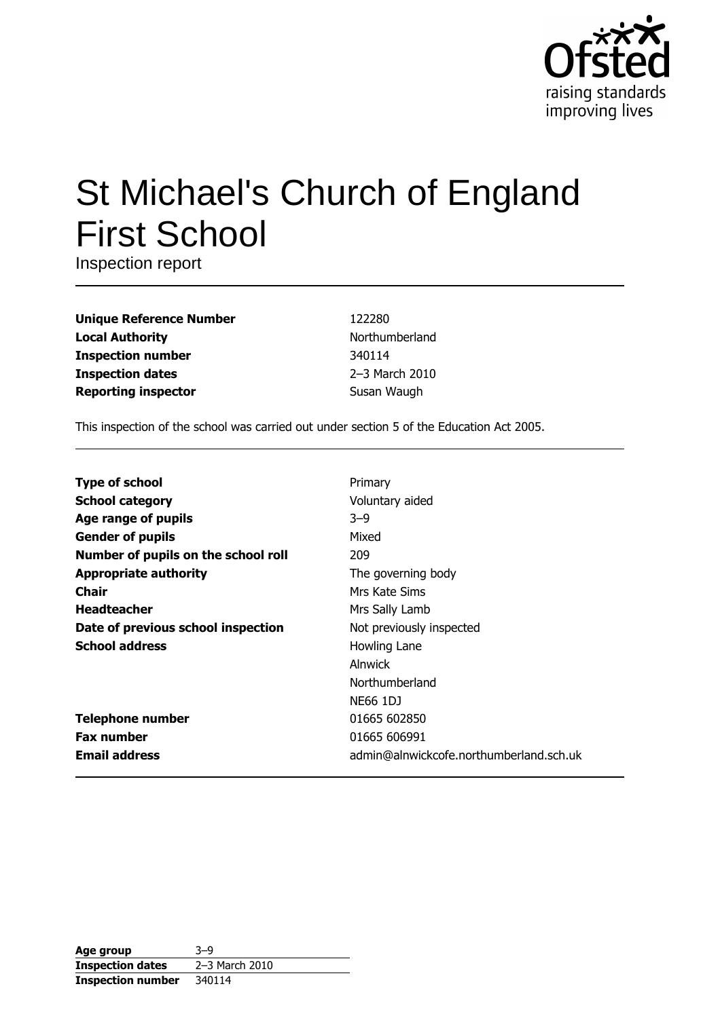

# St Michael's Church of England **First School**

Inspection report

| <b>Unique Reference Number</b> |
|--------------------------------|
| <b>Local Authority</b>         |
| <b>Inspection number</b>       |
| <b>Inspection dates</b>        |
| <b>Reporting inspector</b>     |

122280 Northumberland 340114 2-3 March 2010 Susan Waugh

This inspection of the school was carried out under section 5 of the Education Act 2005.

| <b>Type of school</b>               | Primary                                 |
|-------------------------------------|-----------------------------------------|
| <b>School category</b>              | Voluntary aided                         |
| Age range of pupils                 | $3 - 9$                                 |
| <b>Gender of pupils</b>             | Mixed                                   |
| Number of pupils on the school roll | 209                                     |
| <b>Appropriate authority</b>        | The governing body                      |
| <b>Chair</b>                        | Mrs Kate Sims                           |
| <b>Headteacher</b>                  | Mrs Sally Lamb                          |
| Date of previous school inspection  | Not previously inspected                |
| <b>School address</b>               | Howling Lane                            |
|                                     | Alnwick                                 |
|                                     | Northumberland                          |
|                                     | <b>NE66 1DJ</b>                         |
| <b>Telephone number</b>             | 01665 602850                            |
| <b>Fax number</b>                   | 01665 606991                            |
| <b>Email address</b>                | admin@alnwickcofe.northumberland.sch.uk |

| Age group                | $3 - 9$        |
|--------------------------|----------------|
| <b>Inspection dates</b>  | 2-3 March 2010 |
| <b>Inspection number</b> | 340114         |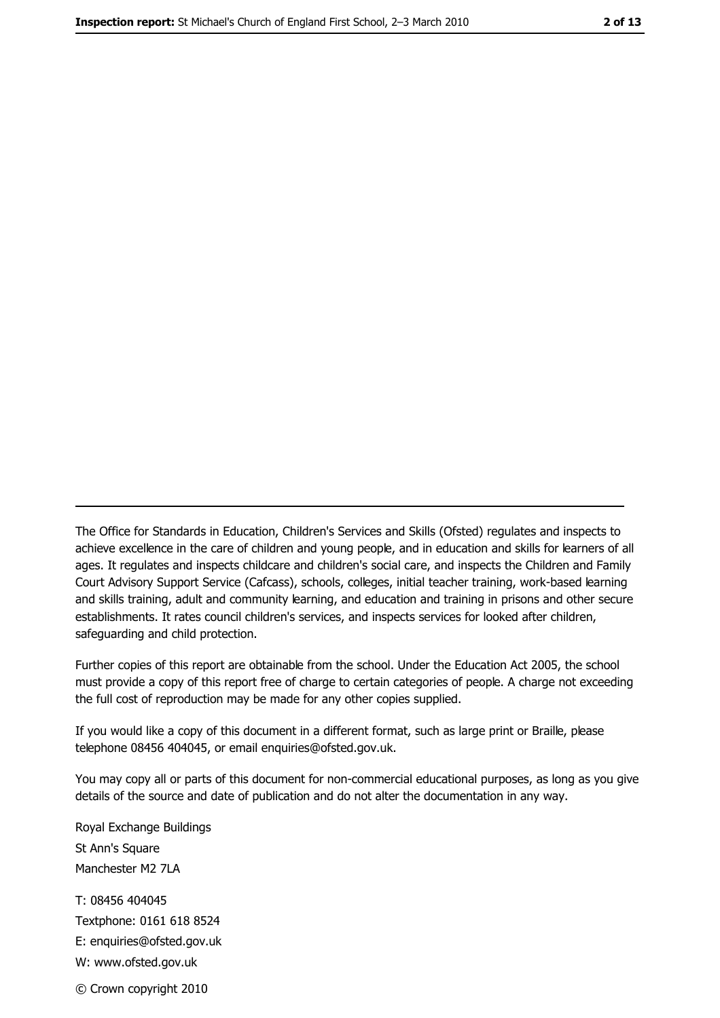The Office for Standards in Education, Children's Services and Skills (Ofsted) regulates and inspects to achieve excellence in the care of children and young people, and in education and skills for learners of all ages. It regulates and inspects childcare and children's social care, and inspects the Children and Family Court Advisory Support Service (Cafcass), schools, colleges, initial teacher training, work-based learning and skills training, adult and community learning, and education and training in prisons and other secure establishments. It rates council children's services, and inspects services for looked after children, safequarding and child protection.

Further copies of this report are obtainable from the school. Under the Education Act 2005, the school must provide a copy of this report free of charge to certain categories of people. A charge not exceeding the full cost of reproduction may be made for any other copies supplied.

If you would like a copy of this document in a different format, such as large print or Braille, please telephone 08456 404045, or email enquiries@ofsted.gov.uk.

You may copy all or parts of this document for non-commercial educational purposes, as long as you give details of the source and date of publication and do not alter the documentation in any way.

Royal Exchange Buildings St Ann's Square Manchester M2 7LA T: 08456 404045 Textphone: 0161 618 8524 E: enquiries@ofsted.gov.uk W: www.ofsted.gov.uk © Crown copyright 2010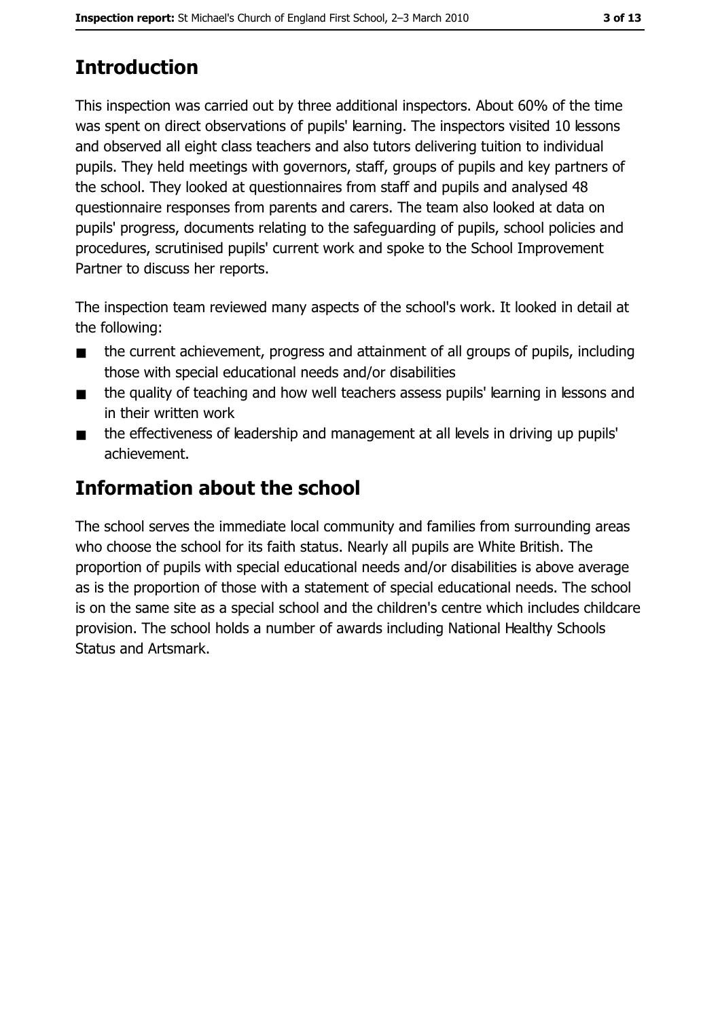## **Introduction**

This inspection was carried out by three additional inspectors. About 60% of the time was spent on direct observations of pupils' learning. The inspectors visited 10 lessons and observed all eight class teachers and also tutors delivering tuition to individual pupils. They held meetings with governors, staff, groups of pupils and key partners of the school. They looked at questionnaires from staff and pupils and analysed 48 questionnaire responses from parents and carers. The team also looked at data on pupils' progress, documents relating to the safeguarding of pupils, school policies and procedures, scrutinised pupils' current work and spoke to the School Improvement Partner to discuss her reports.

The inspection team reviewed many aspects of the school's work. It looked in detail at the following:

- the current achievement, progress and attainment of all groups of pupils, including  $\blacksquare$ those with special educational needs and/or disabilities
- the quality of teaching and how well teachers assess pupils' learning in lessons and  $\blacksquare$ in their written work
- the effectiveness of leadership and management at all levels in driving up pupils'  $\blacksquare$ achievement.

## **Information about the school**

The school serves the immediate local community and families from surrounding areas who choose the school for its faith status. Nearly all pupils are White British. The proportion of pupils with special educational needs and/or disabilities is above average as is the proportion of those with a statement of special educational needs. The school is on the same site as a special school and the children's centre which includes childcare provision. The school holds a number of awards including National Healthy Schools **Status and Artsmark.**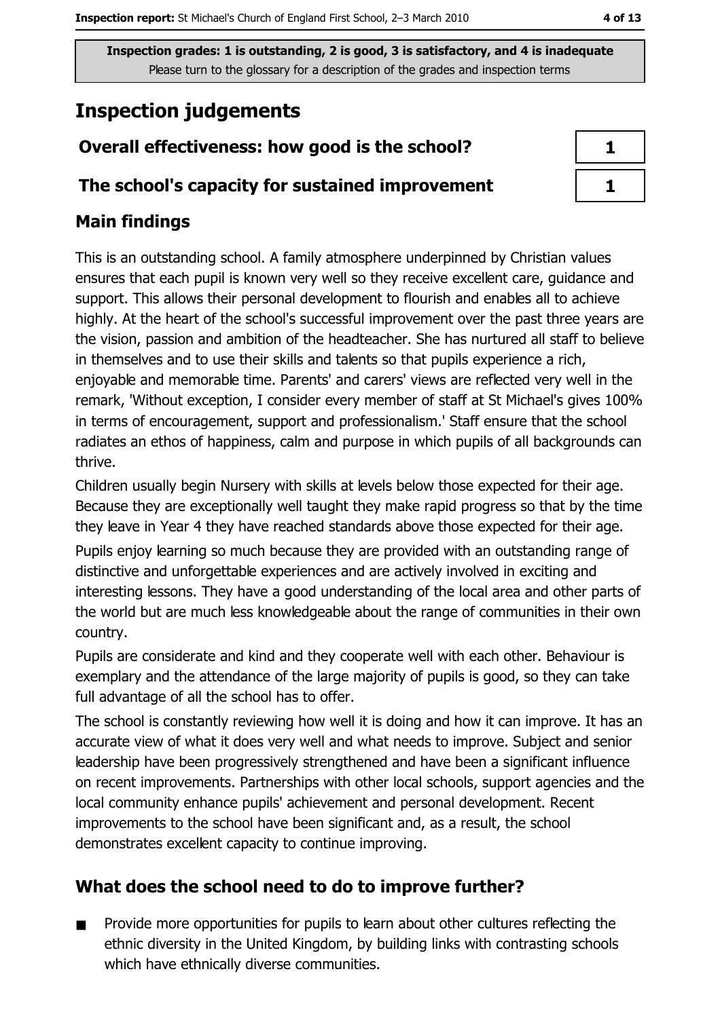### **Inspection judgements**

#### Overall effectiveness: how good is the school?

#### The school's capacity for sustained improvement

## $\mathbf{1}$  $\mathbf{1}$

#### **Main findings**

This is an outstanding school. A family atmosphere underpinned by Christian values ensures that each pupil is known very well so they receive excellent care, guidance and support. This allows their personal development to flourish and enables all to achieve highly. At the heart of the school's successful improvement over the past three years are the vision, passion and ambition of the headteacher. She has nurtured all staff to believe in themselves and to use their skills and talents so that pupils experience a rich, enjoyable and memorable time. Parents' and carers' views are reflected very well in the remark, 'Without exception, I consider every member of staff at St Michael's gives 100% in terms of encouragement, support and professionalism.' Staff ensure that the school radiates an ethos of happiness, calm and purpose in which pupils of all backgrounds can thrive.

Children usually begin Nursery with skills at levels below those expected for their age. Because they are exceptionally well taught they make rapid progress so that by the time they leave in Year 4 they have reached standards above those expected for their age. Pupils enjoy learning so much because they are provided with an outstanding range of distinctive and unforgettable experiences and are actively involved in exciting and interesting lessons. They have a good understanding of the local area and other parts of the world but are much less knowledgeable about the range of communities in their own country.

Pupils are considerate and kind and they cooperate well with each other. Behaviour is exemplary and the attendance of the large majority of pupils is good, so they can take full advantage of all the school has to offer.

The school is constantly reviewing how well it is doing and how it can improve. It has an accurate view of what it does very well and what needs to improve. Subject and senior leadership have been progressively strengthened and have been a significant influence on recent improvements. Partnerships with other local schools, support agencies and the local community enhance pupils' achievement and personal development. Recent improvements to the school have been significant and, as a result, the school demonstrates excellent capacity to continue improving.

#### What does the school need to do to improve further?

Provide more opportunities for pupils to learn about other cultures reflecting the  $\blacksquare$ ethnic diversity in the United Kingdom, by building links with contrasting schools which have ethnically diverse communities.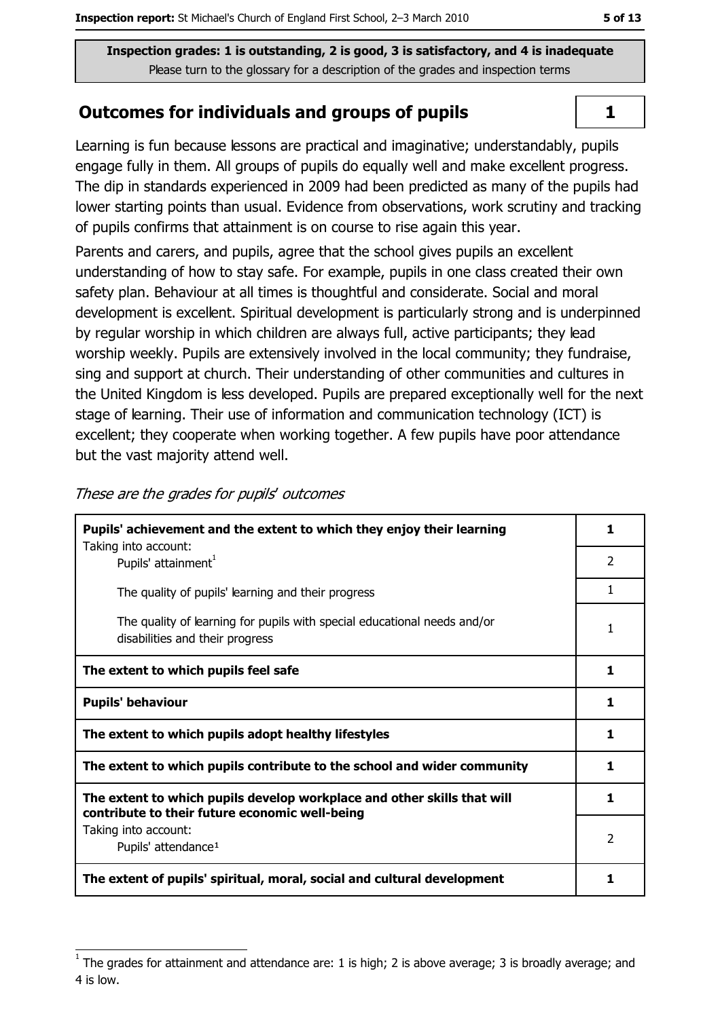#### **Outcomes for individuals and groups of pupils**

Learning is fun because lessons are practical and imaginative; understandably, pupils engage fully in them. All groups of pupils do equally well and make excellent progress. The dip in standards experienced in 2009 had been predicted as many of the pupils had lower starting points than usual. Evidence from observations, work scrutiny and tracking of pupils confirms that attainment is on course to rise again this year.

Parents and carers, and pupils, agree that the school gives pupils an excellent understanding of how to stay safe. For example, pupils in one class created their own safety plan. Behaviour at all times is thoughtful and considerate. Social and moral development is excellent. Spiritual development is particularly strong and is underpinned by regular worship in which children are always full, active participants; they lead worship weekly. Pupils are extensively involved in the local community; they fundraise, sing and support at church. Their understanding of other communities and cultures in the United Kingdom is less developed. Pupils are prepared exceptionally well for the next stage of learning. Their use of information and communication technology (ICT) is excellent; they cooperate when working together. A few pupils have poor attendance but the vast majority attend well.

| Pupils' achievement and the extent to which they enjoy their learning                                                     |                |
|---------------------------------------------------------------------------------------------------------------------------|----------------|
| Taking into account:<br>Pupils' attainment <sup>1</sup>                                                                   | $\overline{2}$ |
| The quality of pupils' learning and their progress                                                                        | 1              |
| The quality of learning for pupils with special educational needs and/or<br>disabilities and their progress               |                |
| The extent to which pupils feel safe                                                                                      | 1              |
| <b>Pupils' behaviour</b>                                                                                                  | 1              |
| The extent to which pupils adopt healthy lifestyles                                                                       | 1              |
| The extent to which pupils contribute to the school and wider community                                                   |                |
| The extent to which pupils develop workplace and other skills that will<br>contribute to their future economic well-being | 1              |
| Taking into account:<br>Pupils' attendance <sup>1</sup>                                                                   | 2              |
| The extent of pupils' spiritual, moral, social and cultural development                                                   | 1              |

These are the grades for pupils' outcomes

 $\mathbf{1}$ 

The grades for attainment and attendance are: 1 is high; 2 is above average; 3 is broadly average; and 4 is low.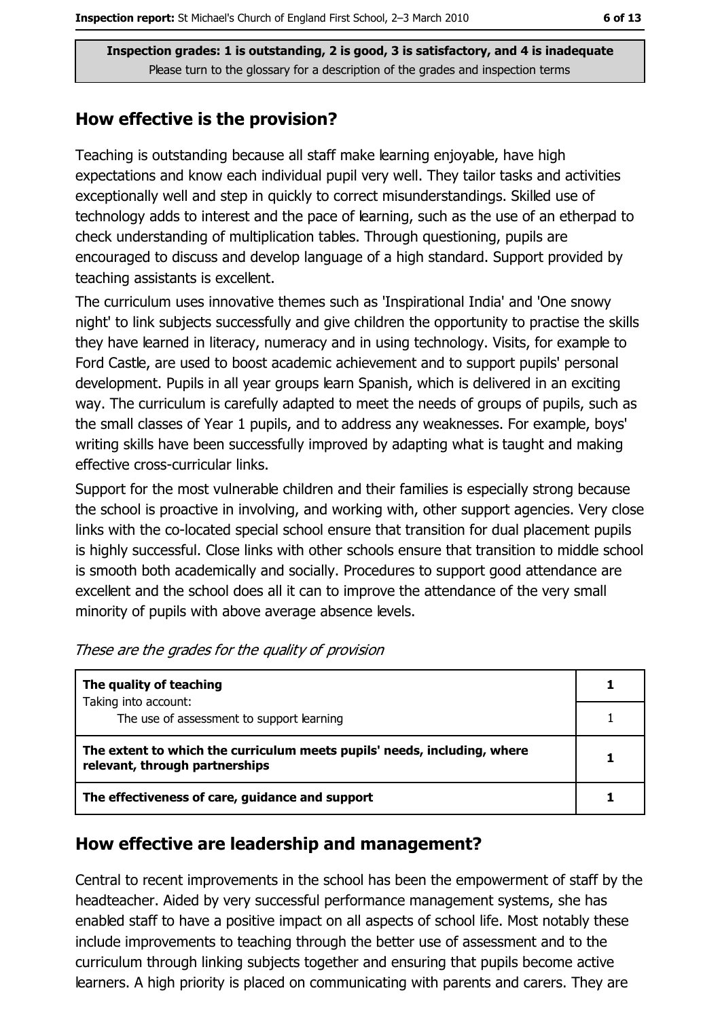#### How effective is the provision?

Teaching is outstanding because all staff make learning enjoyable, have high expectations and know each individual pupil very well. They tailor tasks and activities exceptionally well and step in quickly to correct misunderstandings. Skilled use of technology adds to interest and the pace of learning, such as the use of an etherpad to check understanding of multiplication tables. Through questioning, pupils are encouraged to discuss and develop language of a high standard. Support provided by teaching assistants is excellent.

The curriculum uses innovative themes such as 'Inspirational India' and 'One snowy night' to link subjects successfully and give children the opportunity to practise the skills they have learned in literacy, numeracy and in using technology. Visits, for example to Ford Castle, are used to boost academic achievement and to support pupils' personal development. Pupils in all year groups learn Spanish, which is delivered in an exciting way. The curriculum is carefully adapted to meet the needs of groups of pupils, such as the small classes of Year 1 pupils, and to address any weaknesses. For example, boys' writing skills have been successfully improved by adapting what is taught and making effective cross-curricular links.

Support for the most vulnerable children and their families is especially strong because the school is proactive in involving, and working with, other support agencies. Very close links with the co-located special school ensure that transition for dual placement pupils is highly successful. Close links with other schools ensure that transition to middle school is smooth both academically and socially. Procedures to support good attendance are excellent and the school does all it can to improve the attendance of the very small minority of pupils with above average absence levels.

| The quality of teaching                                                                                    |  |
|------------------------------------------------------------------------------------------------------------|--|
| Taking into account:<br>The use of assessment to support learning                                          |  |
| The extent to which the curriculum meets pupils' needs, including, where<br>relevant, through partnerships |  |
| The effectiveness of care, guidance and support                                                            |  |

These are the grades for the quality of provision

#### How effective are leadership and management?

Central to recent improvements in the school has been the empowerment of staff by the headteacher. Aided by very successful performance management systems, she has enabled staff to have a positive impact on all aspects of school life. Most notably these include improvements to teaching through the better use of assessment and to the curriculum through linking subjects together and ensuring that pupils become active learners. A high priority is placed on communicating with parents and carers. They are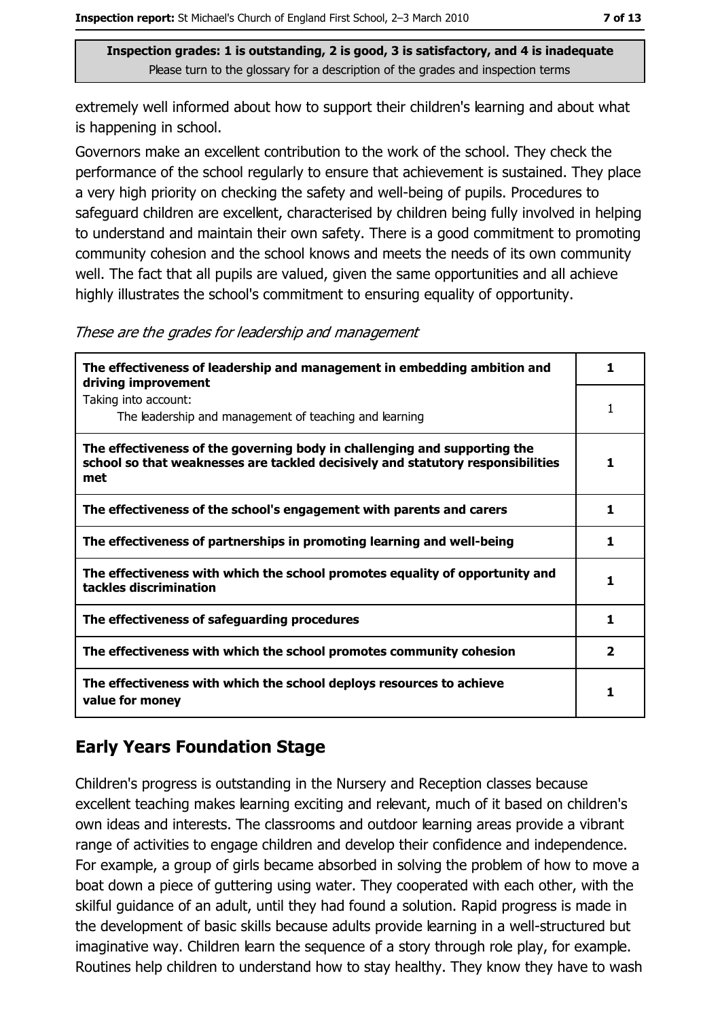extremely well informed about how to support their children's learning and about what is happening in school.

Governors make an excellent contribution to the work of the school. They check the performance of the school regularly to ensure that achievement is sustained. They place a very high priority on checking the safety and well-being of pupils. Procedures to safeguard children are excellent, characterised by children being fully involved in helping to understand and maintain their own safety. There is a good commitment to promoting community cohesion and the school knows and meets the needs of its own community well. The fact that all pupils are valued, given the same opportunities and all achieve highly illustrates the school's commitment to ensuring equality of opportunity.

These are the grades for leadership and management

| The effectiveness of leadership and management in embedding ambition and<br>driving improvement                                                                     |              |
|---------------------------------------------------------------------------------------------------------------------------------------------------------------------|--------------|
| Taking into account:<br>The leadership and management of teaching and learning                                                                                      |              |
| The effectiveness of the governing body in challenging and supporting the<br>school so that weaknesses are tackled decisively and statutory responsibilities<br>met |              |
| The effectiveness of the school's engagement with parents and carers                                                                                                | 1            |
| The effectiveness of partnerships in promoting learning and well-being                                                                                              | 1.           |
| The effectiveness with which the school promotes equality of opportunity and<br>tackles discrimination                                                              | 1            |
| The effectiveness of safeguarding procedures                                                                                                                        | 1            |
| The effectiveness with which the school promotes community cohesion                                                                                                 | $\mathbf{2}$ |
| The effectiveness with which the school deploys resources to achieve<br>value for money                                                                             |              |

#### **Early Years Foundation Stage**

Children's progress is outstanding in the Nursery and Reception classes because excellent teaching makes learning exciting and relevant, much of it based on children's own ideas and interests. The classrooms and outdoor learning areas provide a vibrant range of activities to engage children and develop their confidence and independence. For example, a group of girls became absorbed in solving the problem of how to move a boat down a piece of guttering using water. They cooperated with each other, with the skilful quidance of an adult, until they had found a solution. Rapid progress is made in the development of basic skills because adults provide learning in a well-structured but imaginative way. Children learn the sequence of a story through role play, for example. Routines help children to understand how to stay healthy. They know they have to wash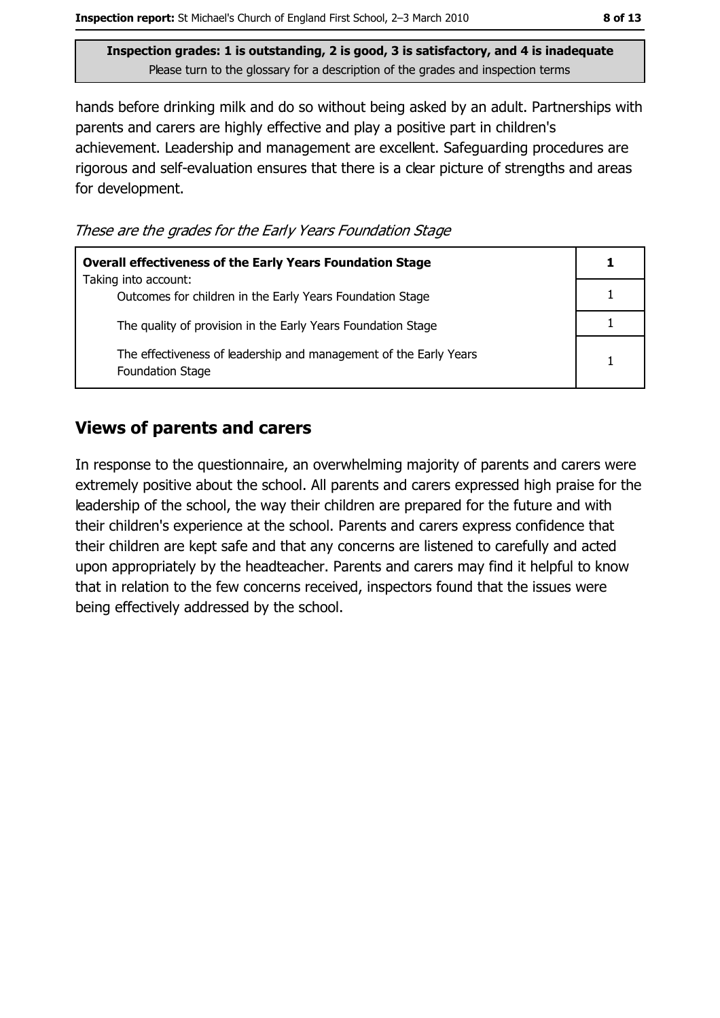hands before drinking milk and do so without being asked by an adult. Partnerships with parents and carers are highly effective and play a positive part in children's achievement. Leadership and management are excellent. Safeguarding procedures are rigorous and self-evaluation ensures that there is a clear picture of strengths and areas for development.

These are the grades for the Early Years Foundation Stage

| <b>Overall effectiveness of the Early Years Foundation Stage</b>                             |   |
|----------------------------------------------------------------------------------------------|---|
| Taking into account:<br>Outcomes for children in the Early Years Foundation Stage            |   |
| The quality of provision in the Early Years Foundation Stage                                 |   |
| The effectiveness of leadership and management of the Early Years<br><b>Foundation Stage</b> | 1 |

#### **Views of parents and carers**

In response to the questionnaire, an overwhelming majority of parents and carers were extremely positive about the school. All parents and carers expressed high praise for the leadership of the school, the way their children are prepared for the future and with their children's experience at the school. Parents and carers express confidence that their children are kept safe and that any concerns are listened to carefully and acted upon appropriately by the headteacher. Parents and carers may find it helpful to know that in relation to the few concerns received, inspectors found that the issues were being effectively addressed by the school.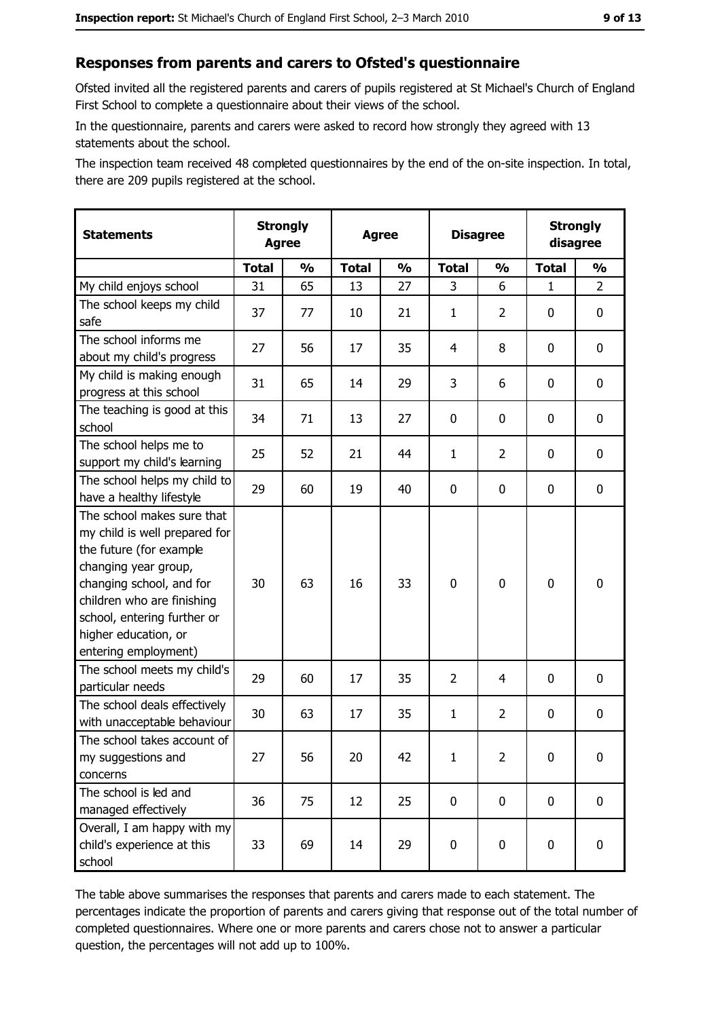#### Responses from parents and carers to Ofsted's questionnaire

Ofsted invited all the registered parents and carers of pupils registered at St Michael's Church of England First School to complete a questionnaire about their views of the school.

In the questionnaire, parents and carers were asked to record how strongly they agreed with 13 statements about the school.

The inspection team received 48 completed questionnaires by the end of the on-site inspection. In total, there are 209 pupils registered at the school.

| <b>Statements</b>                                                                                                                                                                                                                                       | <b>Strongly</b><br><b>Agree</b> |               | <b>Agree</b> |               | <b>Disagree</b> |                | <b>Strongly</b><br>disagree |                |
|---------------------------------------------------------------------------------------------------------------------------------------------------------------------------------------------------------------------------------------------------------|---------------------------------|---------------|--------------|---------------|-----------------|----------------|-----------------------------|----------------|
|                                                                                                                                                                                                                                                         | <b>Total</b>                    | $\frac{1}{2}$ | <b>Total</b> | $\frac{1}{2}$ | <b>Total</b>    | $\frac{0}{0}$  | <b>Total</b>                | $\frac{1}{2}$  |
| My child enjoys school                                                                                                                                                                                                                                  | 31                              | 65            | 13           | 27            | 3               | 6              | $\mathbf{1}$                | $\overline{2}$ |
| The school keeps my child<br>safe                                                                                                                                                                                                                       | 37                              | 77            | 10           | 21            | 1               | $\overline{2}$ | 0                           | 0              |
| The school informs me<br>about my child's progress                                                                                                                                                                                                      | 27                              | 56            | 17           | 35            | 4               | 8              | 0                           | 0              |
| My child is making enough<br>progress at this school                                                                                                                                                                                                    | 31                              | 65            | 14           | 29            | 3               | 6              | 0                           | 0              |
| The teaching is good at this<br>school                                                                                                                                                                                                                  | 34                              | 71            | 13           | 27            | $\mathbf 0$     | 0              | 0                           | 0              |
| The school helps me to<br>support my child's learning                                                                                                                                                                                                   | 25                              | 52            | 21           | 44            | $\mathbf{1}$    | 2              | 0                           | 0              |
| The school helps my child to<br>have a healthy lifestyle                                                                                                                                                                                                | 29                              | 60            | 19           | 40            | $\mathbf 0$     | 0              | 0                           | 0              |
| The school makes sure that<br>my child is well prepared for<br>the future (for example<br>changing year group,<br>changing school, and for<br>children who are finishing<br>school, entering further or<br>higher education, or<br>entering employment) | 30                              | 63            | 16           | 33            | $\mathbf 0$     | 0              | $\mathbf 0$                 | 0              |
| The school meets my child's<br>particular needs                                                                                                                                                                                                         | 29                              | 60            | 17           | 35            | $\overline{2}$  | 4              | 0                           | 0              |
| The school deals effectively<br>with unacceptable behaviour                                                                                                                                                                                             | 30                              | 63            | 17           | 35            | $\mathbf{1}$    | $\overline{2}$ | 0                           | 0              |
| The school takes account of<br>my suggestions and<br>concerns                                                                                                                                                                                           | 27                              | 56            | 20           | 42            | $\mathbf 1$     | 2              | 0                           | 0              |
| The school is led and<br>managed effectively                                                                                                                                                                                                            | 36                              | 75            | 12           | 25            | $\mathbf 0$     | 0              | 0                           | 0              |
| Overall, I am happy with my<br>child's experience at this<br>school                                                                                                                                                                                     | 33                              | 69            | 14           | 29            | $\pmb{0}$       | 0              | 0                           | 0              |

The table above summarises the responses that parents and carers made to each statement. The percentages indicate the proportion of parents and carers giving that response out of the total number of completed questionnaires. Where one or more parents and carers chose not to answer a particular question, the percentages will not add up to 100%.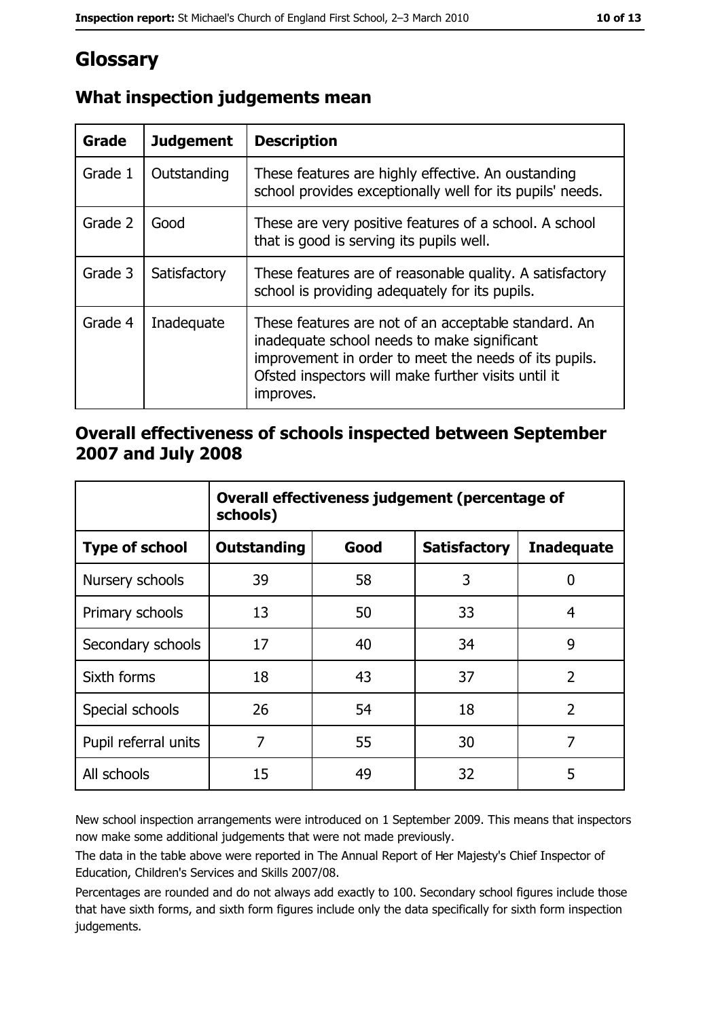## Glossary

| <b>Grade</b> | <b>Judgement</b> | <b>Description</b>                                                                                                                                                                                                               |
|--------------|------------------|----------------------------------------------------------------------------------------------------------------------------------------------------------------------------------------------------------------------------------|
| Grade 1      | Outstanding      | These features are highly effective. An oustanding<br>school provides exceptionally well for its pupils' needs.                                                                                                                  |
| Grade 2      | Good             | These are very positive features of a school. A school<br>that is good is serving its pupils well.                                                                                                                               |
| Grade 3      | Satisfactory     | These features are of reasonable quality. A satisfactory<br>school is providing adequately for its pupils.                                                                                                                       |
| Grade 4      | Inadequate       | These features are not of an acceptable standard. An<br>inadequate school needs to make significant<br>improvement in order to meet the needs of its pupils.<br>Ofsted inspectors will make further visits until it<br>improves. |

#### What inspection judgements mean

#### Overall effectiveness of schools inspected between September 2007 and July 2008

|                       | Overall effectiveness judgement (percentage of<br>schools) |      |                     |                   |
|-----------------------|------------------------------------------------------------|------|---------------------|-------------------|
| <b>Type of school</b> | Outstanding                                                | Good | <b>Satisfactory</b> | <b>Inadequate</b> |
| Nursery schools       | 39                                                         | 58   | 3                   | 0                 |
| Primary schools       | 13                                                         | 50   | 33                  | 4                 |
| Secondary schools     | 17                                                         | 40   | 34                  | 9                 |
| Sixth forms           | 18                                                         | 43   | 37                  | $\overline{2}$    |
| Special schools       | 26                                                         | 54   | 18                  | $\overline{2}$    |
| Pupil referral units  | 7                                                          | 55   | 30                  | 7                 |
| All schools           | 15                                                         | 49   | 32                  | 5                 |

New school inspection arrangements were introduced on 1 September 2009. This means that inspectors now make some additional judgements that were not made previously.

The data in the table above were reported in The Annual Report of Her Majesty's Chief Inspector of Education, Children's Services and Skills 2007/08.

Percentages are rounded and do not always add exactly to 100. Secondary school figures include those that have sixth forms, and sixth form figures include only the data specifically for sixth form inspection judgements.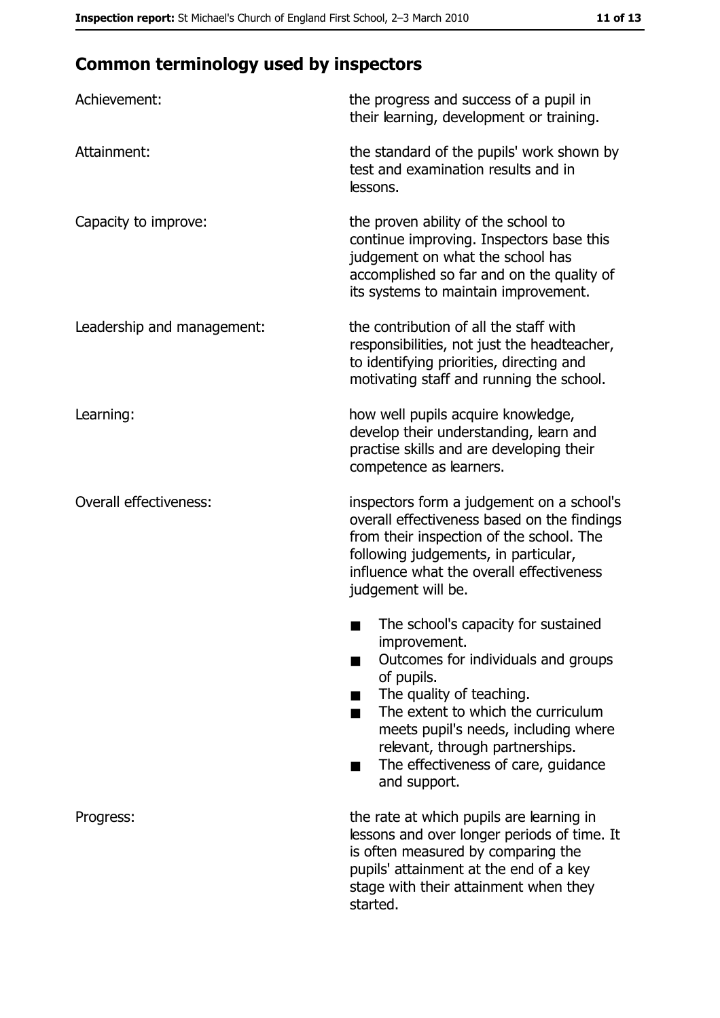## **Common terminology used by inspectors**

| Achievement:                  | the progress and success of a pupil in<br>their learning, development or training.                                                                                                                                                                                                                           |
|-------------------------------|--------------------------------------------------------------------------------------------------------------------------------------------------------------------------------------------------------------------------------------------------------------------------------------------------------------|
| Attainment:                   | the standard of the pupils' work shown by<br>test and examination results and in<br>lessons.                                                                                                                                                                                                                 |
| Capacity to improve:          | the proven ability of the school to<br>continue improving. Inspectors base this<br>judgement on what the school has<br>accomplished so far and on the quality of<br>its systems to maintain improvement.                                                                                                     |
| Leadership and management:    | the contribution of all the staff with<br>responsibilities, not just the headteacher,<br>to identifying priorities, directing and<br>motivating staff and running the school.                                                                                                                                |
| Learning:                     | how well pupils acquire knowledge,<br>develop their understanding, learn and<br>practise skills and are developing their<br>competence as learners.                                                                                                                                                          |
| <b>Overall effectiveness:</b> | inspectors form a judgement on a school's<br>overall effectiveness based on the findings<br>from their inspection of the school. The<br>following judgements, in particular,<br>influence what the overall effectiveness<br>judgement will be.                                                               |
|                               | The school's capacity for sustained<br>improvement.<br>Outcomes for individuals and groups<br>of pupils.<br>The quality of teaching.<br>The extent to which the curriculum<br>meets pupil's needs, including where<br>relevant, through partnerships.<br>The effectiveness of care, guidance<br>and support. |
| Progress:                     | the rate at which pupils are learning in<br>lessons and over longer periods of time. It<br>is often measured by comparing the<br>pupils' attainment at the end of a key<br>stage with their attainment when they<br>started.                                                                                 |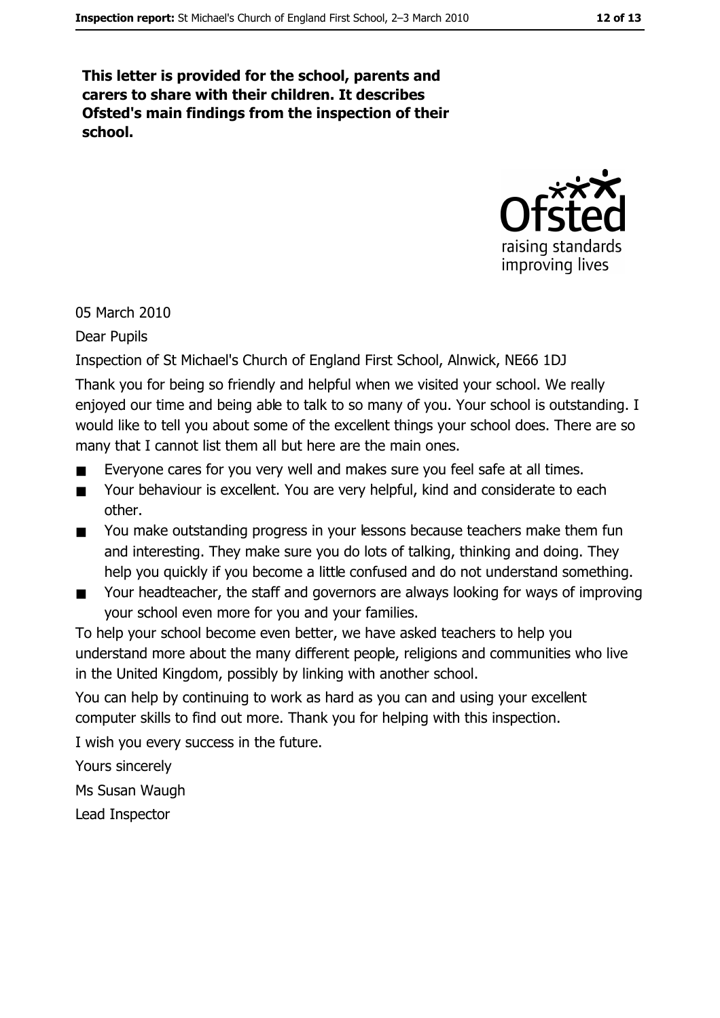This letter is provided for the school, parents and carers to share with their children. It describes Ofsted's main findings from the inspection of their school.



05 March 2010

**Dear Pupils** 

Inspection of St Michael's Church of England First School, Alnwick, NE66 1DJ

Thank you for being so friendly and helpful when we visited your school. We really enjoyed our time and being able to talk to so many of you. Your school is outstanding. I would like to tell you about some of the excellent things your school does. There are so many that I cannot list them all but here are the main ones.

- Everyone cares for you very well and makes sure you feel safe at all times.  $\blacksquare$
- Your behaviour is excellent. You are very helpful, kind and considerate to each  $\blacksquare$ other.
- You make outstanding progress in your lessons because teachers make them fun and interesting. They make sure you do lots of talking, thinking and doing. They help you quickly if you become a little confused and do not understand something.
- Your headteacher, the staff and governors are always looking for ways of improving  $\blacksquare$ your school even more for you and your families.

To help your school become even better, we have asked teachers to help you understand more about the many different people, religions and communities who live in the United Kingdom, possibly by linking with another school.

You can help by continuing to work as hard as you can and using your excellent computer skills to find out more. Thank you for helping with this inspection.

I wish you every success in the future.

Yours sincerely Ms Susan Waugh Lead Inspector